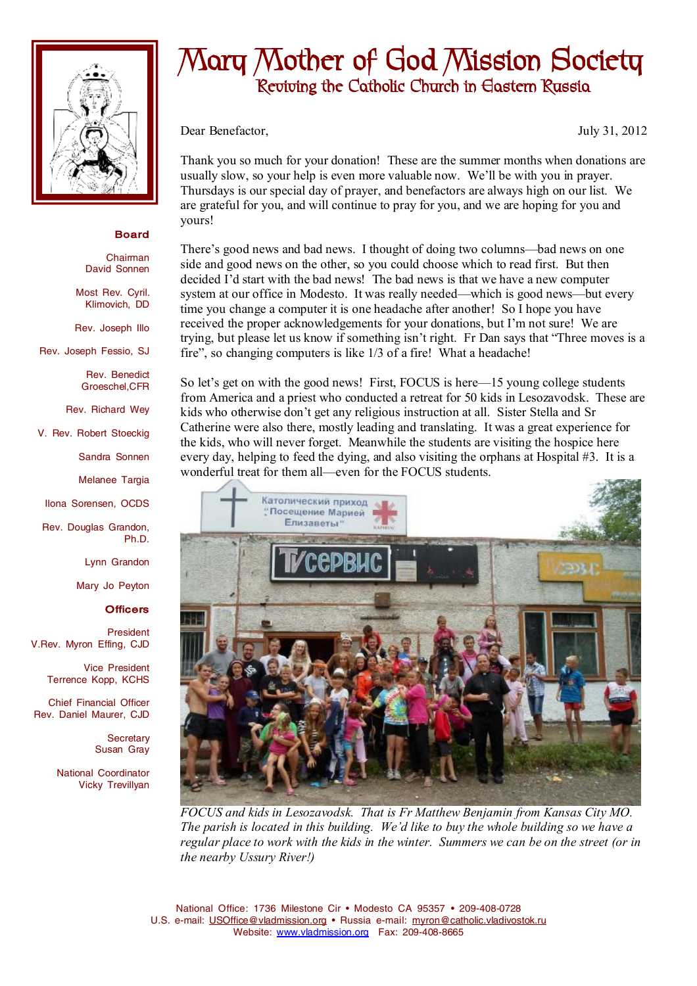

## **Board**

Chairman David Sonnen

Most Rev. Cyril. Klimovich, DD

Rev. Joseph Illo

Rev. Joseph Fessio, SJ

Rev. Benedict Groeschel,CFR

Rev. Richard Wey

V. Rev. Robert Stoeckig

Sandra Sonnen

Melanee Targia

Ilona Sorensen, OCDS

Rev. Douglas Grandon, Ph.D.

Lynn Grandon

Mary Jo Peyton

## **Officers**

President V.Rev. Myron Effing, CJD

> Vice President Terrence Kopp, KCHS

Chief Financial Officer Rev. Daniel Maurer, CJD

> **Secretary** Susan Gray

National Coordinator Vicky Trevillyan

## **Mary Mother of God Mission Society Reviving the Catholic Church in Eastern Russia**

Dear Benefactor, July 31, 2012

Thank you so much for your donation! These are the summer months when donations are usually slow, so your help is even more valuable now. We'll be with you in prayer. Thursdays is our special day of prayer, and benefactors are always high on our list. We are grateful for you, and will continue to pray for you, and we are hoping for you and yours!

There's good news and bad news. I thought of doing two columns—bad news on one side and good news on the other, so you could choose which to read first. But then decided I'd start with the bad news! The bad news is that we have a new computer system at our office in Modesto. It was really needed—which is good news—but every time you change a computer it is one headache after another! So I hope you have received the proper acknowledgements for your donations, but I'm not sure! We are trying, but please let us know if something isn't right. Fr Dan says that "Three moves is a fire", so changing computers is like 1/3 of a fire! What a headache!

So let's get on with the good news! First, FOCUS is here—15 young college students from America and a priest who conducted a retreat for 50 kids in Lesozavodsk. These are kids who otherwise don't get any religious instruction at all. Sister Stella and Sr Catherine were also there, mostly leading and translating. It was a great experience for the kids, who will never forget. Meanwhile the students are visiting the hospice here every day, helping to feed the dying, and also visiting the orphans at Hospital #3. It is a wonderful treat for them all—even for the FOCUS students.



*FOCUS and kids in Lesozavodsk. That is Fr Matthew Benjamin from Kansas City MO. The parish is located in this building. We'd like to buy the whole building so we have a regular place to work with the kids in the winter. Summers we can be on the street (or in the nearby Ussury River!)*